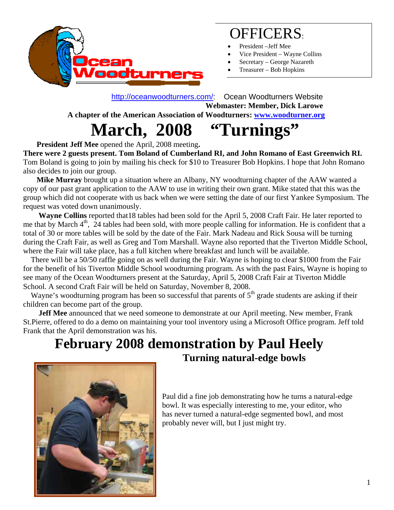

## OFFICERS:

- President –Jeff Mee
- Vice President Wayne Collins
- Secretary George Nazareth
- Treasurer Bob Hopkins

 http://oceanwoodturners.com/: Ocean Woodturners Website **Webmaster: Member, Dick Larowe A chapter of the American Association of Woodturners: www.woodturner.org** 

 **March, 2008 "Turnings"** 

 **President Jeff Mee** opened the April, 2008 meeting**.** 

**There were 2 guests present. Tom Boland of Cumberland RI, and John Romano of East Greenwich RI.**  Tom Boland is going to join by mailing his check for \$10 to Treasurer Bob Hopkins. I hope that John Romano also decides to join our group.

 **Mike Murray** brought up a situation where an Albany, NY woodturning chapter of the AAW wanted a copy of our past grant application to the AAW to use in writing their own grant. Mike stated that this was the group which did not cooperate with us back when we were setting the date of our first Yankee Symposium. The request was voted down unanimously.

 **Wayne Collins** reported that18 tables had been sold for the April 5, 2008 Craft Fair. He later reported to me that by March  $4<sup>th</sup>$ , 24 tables had been sold, with more people calling for information. He is confident that a total of 30 or more tables will be sold by the date of the Fair. Mark Nadeau and Rick Sousa will be turning during the Craft Fair, as well as Greg and Tom Marshall. Wayne also reported that the Tiverton Middle School, where the Fair will take place, has a full kitchen where breakfast and lunch will be available.

 There will be a 50/50 raffle going on as well during the Fair. Wayne is hoping to clear \$1000 from the Fair for the benefit of his Tiverton Middle School woodturning program. As with the past Fairs, Wayne is hoping to see many of the Ocean Woodturners present at the Saturday, April 5, 2008 Craft Fair at Tiverton Middle School. A second Craft Fair will be held on Saturday, November 8, 2008.

Wayne's woodturning program has been so successful that parents of  $5<sup>th</sup>$  grade students are asking if their children can become part of the group.

 **Jeff Mee** announced that we need someone to demonstrate at our April meeting. New member, Frank St.Pierre, offered to do a demo on maintaining your tool inventory using a Microsoft Office program. Jeff told Frank that the April demonstration was his.

### **February 2008 demonstration by Paul Heely Turning natural-edge bowls**



Paul did a fine job demonstrating how he turns a natural-edge bowl. It was especially interesting to me, your editor, who has never turned a natural-edge segmented bowl, and most probably never will, but I just might try.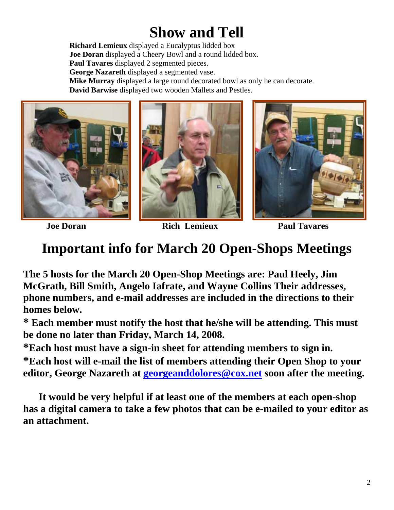# **Show and Tell**

**Richard Lemieux** displayed a Eucalyptus lidded box **Joe Doran** displayed a Cheery Bowl and a round lidded box. **Paul Tavares** displayed 2 segmented pieces. **George Nazareth** displayed a segmented vase. **Mike Murray** displayed a large round decorated bowl as only he can decorate. **David Barwise** displayed two wooden Mallets and Pestles.







**Joe Doran Rich Lemieux Paul Tavares**

### **Important info for March 20 Open-Shops Meetings**

**The 5 hosts for the March 20 Open-Shop Meetings are: Paul Heely, Jim McGrath, Bill Smith, Angelo Iafrate, and Wayne Collins Their addresses, phone numbers, and e-mail addresses are included in the directions to their homes below.** 

**\* Each member must notify the host that he/she will be attending. This must be done no later than Friday, March 14, 2008.** 

**\*Each host must have a sign-in sheet for attending members to sign in.** 

**\*Each host will e-mail the list of members attending their Open Shop to your editor, George Nazareth at georgeanddolores@cox.net soon after the meeting.** 

 **It would be very helpful if at least one of the members at each open-shop has a digital camera to take a few photos that can be e-mailed to your editor as an attachment.**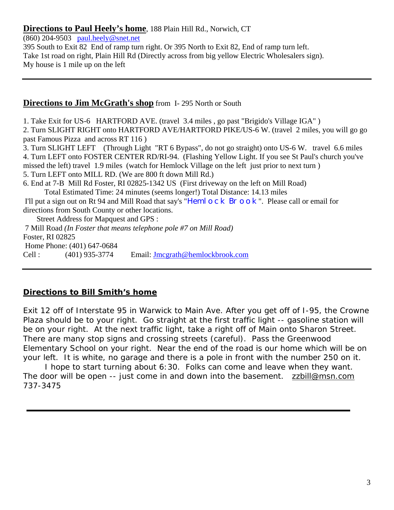#### **Directions to Paul Heely's home**, 188 Plain Hill Rd., Norwich, CT

(860) 204-9503 paul.heely@snet.net

395 South to Exit 82 End of ramp turn right. Or 395 North to Exit 82, End of ramp turn left. Take 1st road on right, Plain Hill Rd (Directly across from big yellow Electric Wholesalers sign). My house is 1 mile up on the left

#### **Directions to Jim McGrath's shop** from I- 295 North or South

1. Take Exit for US-6 HARTFORD AVE. (travel 3.4 miles , go past "Brigido's Village IGA" )

2. Turn SLIGHT RIGHT onto HARTFORD AVE/HARTFORD PIKE/US-6 W. (travel 2 miles, you will go go past Famous Pizza and across RT 116 )

3. Turn SLIGHT LEFT (Through Light "RT 6 Bypass", do not go straight) onto US-6 W. travel 6.6 miles 4. Turn LEFT onto FOSTER CENTER RD/RI-94. (Flashing Yellow Light. If you see St Paul's church you've missed the left) travel 1.9 miles (watch for Hemlock Village on the left just prior to next turn )

5. Turn LEFT onto MILL RD. (We are 800 ft down Mill Rd.)

6. End at 7-B Mill Rd Foster, RI 02825-1342 US (First driveway on the left on Mill Road) Total Estimated Time: 24 minutes (seems longer!) Total Distance: 14.13 miles

I'll put a sign out on Rt 94 and Mill Road that say's "Heml OCK Br OOK". Please call or email for directions from South County or other locations.

 Street Address for Mapquest and GPS : 7 Mill Road *(In Foster that means telephone pole #7 on Mill Road)* Foster, RI 02825 Home Phone: (401) 647-0684 Cell : (401) 935-3774 Email: Jmcgrath@hemlockbrook.com

#### **Directions to Bill Smith's home**

Exit 12 off of Interstate 95 in Warwick to Main Ave. After you get off of I-95, the Crowne Plaza should be to your right. Go straight at the first traffic light -- gasoline station will be on your right. At the next traffic light, take a right off of Main onto Sharon Street. There are many stop signs and crossing streets (careful). Pass the Greenwood Elementary School on your right. Near the end of the road is our home which will be on your left. It is white, no garage and there is a pole in front with the number 250 on it.

 I hope to start turning about 6:30. Folks can come and leave when they want. The door will be open -- just come in and down into the basement. zzbill@msn.com 737-3475